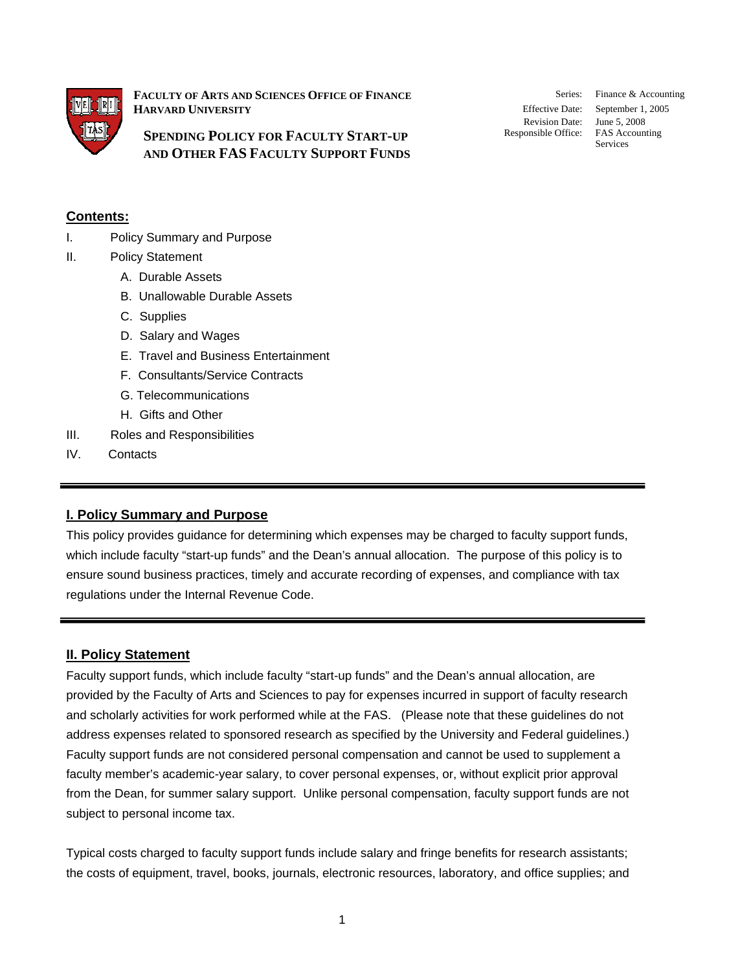

**FACULTY OF ARTS AND SCIENCES OFFICE OF FINANCE HARVARD UNIVERSITY**

**SPENDING POLICY FOR FACULTY START-UP AND OTHER FAS FACULTY SUPPORT FUNDS** Revision Date: June 5, 2008

Series: Finance & Accounting Effective Date: September 1, 2005 Responsible Office: FAS Accounting<br>Services

## **Contents:**

- I. Policy Summary and Purpose
- II. Policy Statement
	- A. Durable Assets
	- B. Unallowable Durable Assets
	- C. Supplies
	- D. Salary and Wages
	- E. Travel and Business Entertainment
	- F. Consultants/Service Contracts
	- G. Telecommunications
	- H. Gifts and Other
- III. Roles and Responsibilities
- IV. Contacts

### **I. Policy Summary and Purpose**

This policy provides guidance for determining which expenses may be charged to faculty support funds, which include faculty "start-up funds" and the Dean's annual allocation. The purpose of this policy is to ensure sound business practices, timely and accurate recording of expenses, and compliance with tax regulations under the Internal Revenue Code.

### **II. Policy Statement**

Faculty support funds, which include faculty "start-up funds" and the Dean's annual allocation, are provided by the Faculty of Arts and Sciences to pay for expenses incurred in support of faculty research and scholarly activities for work performed while at the FAS. (Please note that these guidelines do not address expenses related to sponsored research as specified by the University and Federal guidelines.) Faculty support funds are not considered personal compensation and cannot be used to supplement a faculty member's academic-year salary, to cover personal expenses, or, without explicit prior approval from the Dean, for summer salary support. Unlike personal compensation, faculty support funds are not subject to personal income tax.

Typical costs charged to faculty support funds include salary and fringe benefits for research assistants; the costs of equipment, travel, books, journals, electronic resources, laboratory, and office supplies; and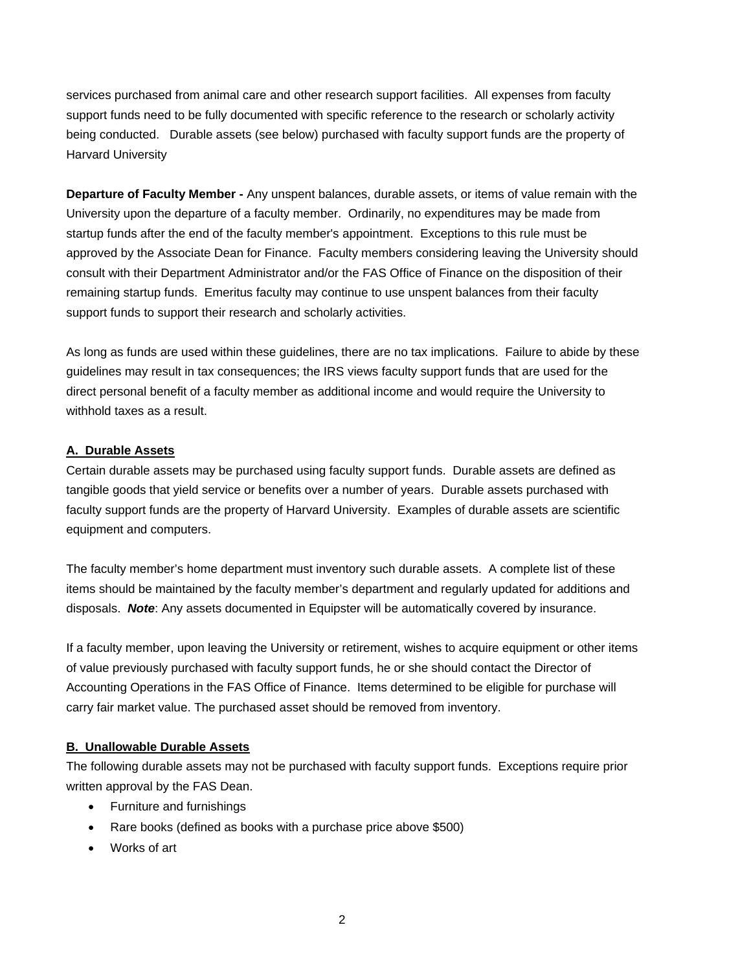services purchased from animal care and other research support facilities. All expenses from faculty support funds need to be fully documented with specific reference to the research or scholarly activity being conducted. Durable assets (see below) purchased with faculty support funds are the property of Harvard University

**Departure of Faculty Member -** Any unspent balances, durable assets, or items of value remain with the University upon the departure of a faculty member. Ordinarily, no expenditures may be made from startup funds after the end of the faculty member's appointment. Exceptions to this rule must be approved by the Associate Dean for Finance. Faculty members considering leaving the University should consult with their Department Administrator and/or the FAS Office of Finance on the disposition of their remaining startup funds. Emeritus faculty may continue to use unspent balances from their faculty support funds to support their research and scholarly activities.

As long as funds are used within these guidelines, there are no tax implications. Failure to abide by these guidelines may result in tax consequences; the IRS views faculty support funds that are used for the direct personal benefit of a faculty member as additional income and would require the University to withhold taxes as a result.

### **A. Durable Assets**

Certain durable assets may be purchased using faculty support funds. Durable assets are defined as tangible goods that yield service or benefits over a number of years. Durable assets purchased with faculty support funds are the property of Harvard University. Examples of durable assets are scientific equipment and computers.

The faculty member's home department must inventory such durable assets. A complete list of these items should be maintained by the faculty member's department and regularly updated for additions and disposals. *Note*: Any assets documented in Equipster will be automatically covered by insurance.

If a faculty member, upon leaving the University or retirement, wishes to acquire equipment or other items of value previously purchased with faculty support funds, he or she should contact the Director of Accounting Operations in the FAS Office of Finance. Items determined to be eligible for purchase will carry fair market value. The purchased asset should be removed from inventory.

### **B. Unallowable Durable Assets**

The following durable assets may not be purchased with faculty support funds. Exceptions require prior written approval by the FAS Dean.

- Furniture and furnishings
- Rare books (defined as books with a purchase price above \$500)
- Works of art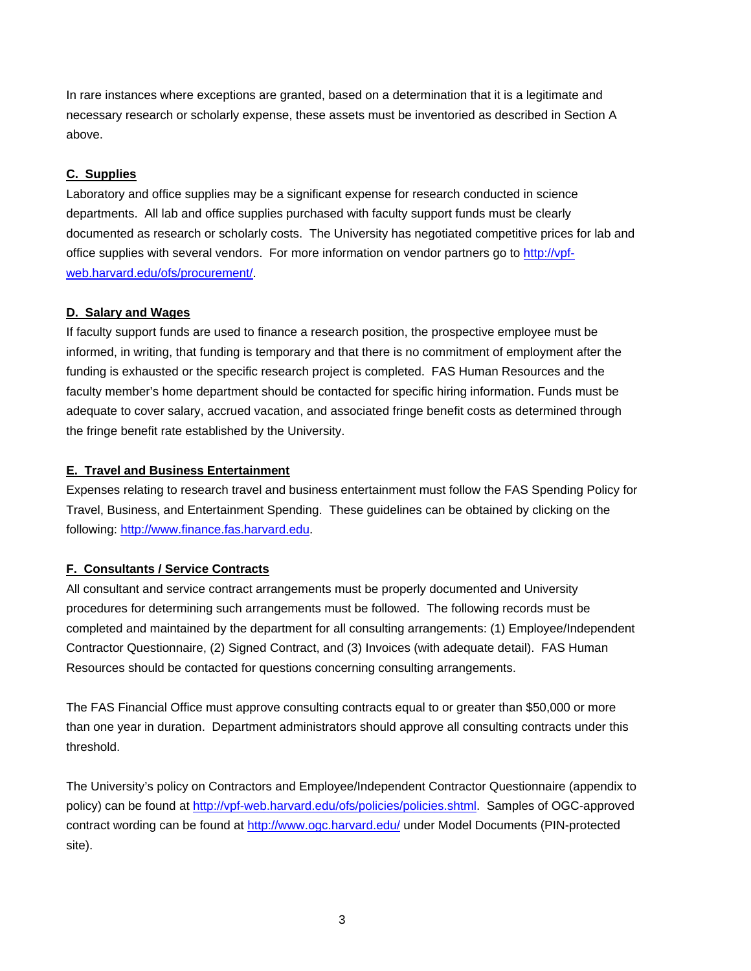In rare instances where exceptions are granted, based on a determination that it is a legitimate and necessary research or scholarly expense, these assets must be inventoried as described in Section A above.

### **C. Supplies**

Laboratory and office supplies may be a significant expense for research conducted in science departments. All lab and office supplies purchased with faculty support funds must be clearly documented as research or scholarly costs. The University has negotiated competitive prices for lab and office supplies with several vendors. For more information on vendor partners go to [http://vpf](http://vpf-web.harvard.edu/ofs/procurement/)[web.harvard.edu/ofs/procurement/](http://vpf-web.harvard.edu/ofs/procurement/).

#### **D. Salary and Wages**

If faculty support funds are used to finance a research position, the prospective employee must be informed, in writing, that funding is temporary and that there is no commitment of employment after the funding is exhausted or the specific research project is completed. FAS Human Resources and the faculty member's home department should be contacted for specific hiring information. Funds must be adequate to cover salary, accrued vacation, and associated fringe benefit costs as determined through the fringe benefit rate established by the University.

#### **E. Travel and Business Entertainment**

Expenses relating to research travel and business entertainment must follow the FAS Spending Policy for Travel, Business, and Entertainment Spending. These guidelines can be obtained by clicking on the following: [http://www.finance.fas.harvard.edu](http://www.finance.fas.harvard.edu/).

### **F. Consultants / Service Contracts**

All consultant and service contract arrangements must be properly documented and University procedures for determining such arrangements must be followed. The following records must be completed and maintained by the department for all consulting arrangements: (1) Employee/Independent Contractor Questionnaire, (2) Signed Contract, and (3) Invoices (with adequate detail). FAS Human Resources should be contacted for questions concerning consulting arrangements.

The FAS Financial Office must approve consulting contracts equal to or greater than \$50,000 or more than one year in duration. Department administrators should approve all consulting contracts under this threshold.

The University's policy on Contractors and Employee/Independent Contractor Questionnaire (appendix to policy) can be found at [http://vpf-web.harvard.edu/ofs/policies/policies.shtml.](http://vpf-web.harvard.edu/ofs/policies/policies.shtml) Samples of OGC-approved contract wording can be found at <http://www.ogc.harvard.edu/> under Model Documents (PIN-protected site).